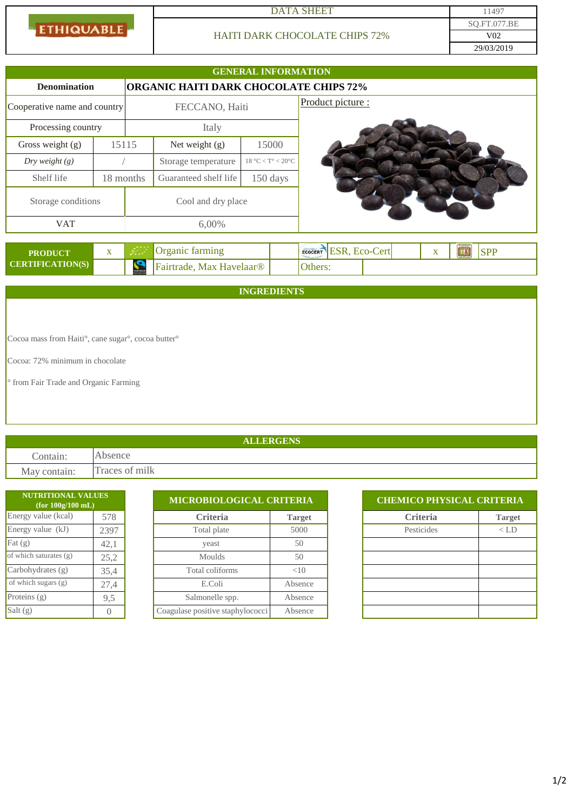**ETHIQUABLE** 

### DATA SHEET 11497

# HAITI DARK CHOCOLATE CHIPS 72%

|                                                    |              |                                                                                                                                                                                                                                                    |                                        | <b>GENERAL INFORMATION</b> |                                                         |
|----------------------------------------------------|--------------|----------------------------------------------------------------------------------------------------------------------------------------------------------------------------------------------------------------------------------------------------|----------------------------------------|----------------------------|---------------------------------------------------------|
| <b>Denomination</b>                                |              |                                                                                                                                                                                                                                                    | ORGANIC HAITI DARK CHOCOLATE CHIPS 72% |                            |                                                         |
| Cooperative name and country                       |              | FECCANO, Haiti                                                                                                                                                                                                                                     |                                        |                            | Product picture :                                       |
| Processing country                                 |              | Italy                                                                                                                                                                                                                                              |                                        |                            |                                                         |
| Gross weight (g)                                   | 15115        |                                                                                                                                                                                                                                                    | Net weight (g)                         | 15000                      |                                                         |
| $Dry$ weight $(g)$                                 |              |                                                                                                                                                                                                                                                    | Storage temperature                    | $18 °C < T$ ° < $20 °C$    |                                                         |
| Shelf life                                         |              | 18 months                                                                                                                                                                                                                                          | Guaranteed shelf life                  | 150 days                   |                                                         |
| Storage conditions                                 |              | Cool and dry place                                                                                                                                                                                                                                 |                                        |                            |                                                         |
| <b>VAT</b>                                         |              | 6,00%                                                                                                                                                                                                                                              |                                        |                            |                                                         |
| <b>PRODUCT</b>                                     | $\mathbf{X}$ | Organic farming<br>i postali postali postali postali postali postali postali i postali postali postali i postali postali postali<br>Postali postali postali postali postali postali postali postali postali postali postali postali postali postal |                                        |                            | ECOCERT ESR, ECO-Cert<br><b>SPP</b><br>團<br>$\mathbf X$ |
| <b>CERTIFICATION(S)</b>                            |              | S                                                                                                                                                                                                                                                  | Fairtrade, Max Havelaar®               |                            | Others:                                                 |
|                                                    |              |                                                                                                                                                                                                                                                    |                                        | <b>INGREDIENTS</b>         |                                                         |
|                                                    |              |                                                                                                                                                                                                                                                    |                                        |                            |                                                         |
|                                                    |              |                                                                                                                                                                                                                                                    |                                        |                            |                                                         |
| Cocoa mass from Haiti°, cane sugar°, cocoa butter° |              |                                                                                                                                                                                                                                                    |                                        |                            |                                                         |

Cocoa: 72% minimum in chocolate

° from Fair Trade and Organic Farming

## **ALLERGENS**

Contain: Absence May contain: Traces of milk

| <b>NUTRITIONAL VALUES</b><br>(for $100g/100$ mL) |                |                                  | MICROBIOLOGICAL CRITERIA |  |                 | <b>CHEMICO PHYSICAL CRITERIA</b> |  |  |
|--------------------------------------------------|----------------|----------------------------------|--------------------------|--|-----------------|----------------------------------|--|--|
| Energy value (kcal)                              | 578            | <b>Criteria</b>                  | <b>Target</b>            |  | <b>Criteria</b> |                                  |  |  |
| Energy value (kJ)                                | 2397           | Total plate                      | 5000                     |  | Pesticides      |                                  |  |  |
| Fat $(g)$                                        | 42,1           | yeast                            | 50                       |  |                 |                                  |  |  |
| of which saturates (g)                           | 25,2           | <b>Moulds</b>                    | 50                       |  |                 |                                  |  |  |
| Carbohydrates (g)                                | 35,4           | Total coliforms                  | <10                      |  |                 |                                  |  |  |
| of which sugars $(g)$                            | 27,4           | E.Coli                           | Absence                  |  |                 |                                  |  |  |
| Proteins $(g)$                                   | 9,5            | Salmonelle spp.                  | Absence                  |  |                 |                                  |  |  |
| Salt(g)                                          | $\overline{0}$ | Coagulase positive staphylococci | Absence                  |  |                 |                                  |  |  |

| <b>CHEMICO PHYSICAL CRITERIA</b> |               |  |  |  |  |
|----------------------------------|---------------|--|--|--|--|
| <b>Criteria</b>                  | <b>Target</b> |  |  |  |  |
| Pesticides                       | $\langle$ LD  |  |  |  |  |
|                                  |               |  |  |  |  |
|                                  |               |  |  |  |  |
|                                  |               |  |  |  |  |
|                                  |               |  |  |  |  |
|                                  |               |  |  |  |  |
|                                  |               |  |  |  |  |